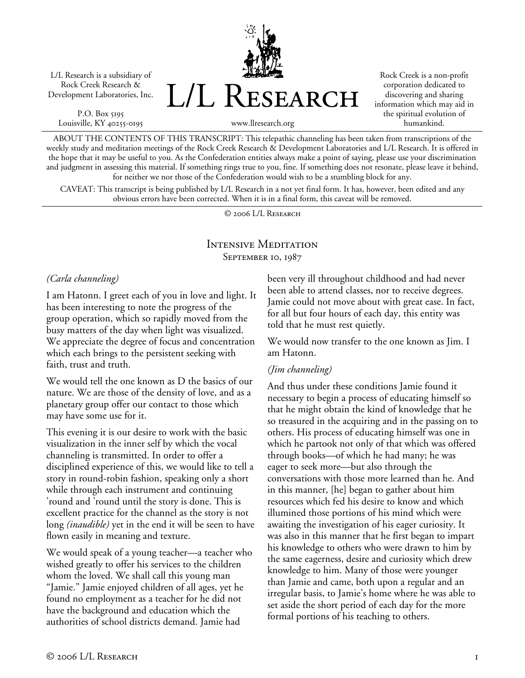L/L Research is a subsidiary of Rock Creek Research & Development Laboratories, Inc.

P.O. Box 5195 Louisville, KY 40255-0195 L/L Research

Rock Creek is a non-profit corporation dedicated to discovering and sharing information which may aid in the spiritual evolution of humankind.

www.llresearch.org

ABOUT THE CONTENTS OF THIS TRANSCRIPT: This telepathic channeling has been taken from transcriptions of the weekly study and meditation meetings of the Rock Creek Research & Development Laboratories and L/L Research. It is offered in the hope that it may be useful to you. As the Confederation entities always make a point of saying, please use your discrimination and judgment in assessing this material. If something rings true to you, fine. If something does not resonate, please leave it behind, for neither we nor those of the Confederation would wish to be a stumbling block for any.

CAVEAT: This transcript is being published by L/L Research in a not yet final form. It has, however, been edited and any obvious errors have been corrected. When it is in a final form, this caveat will be removed.

© 2006 L/L Research

#### Intensive Meditation SEPTEMBER 10, 1987

#### *(Carla channeling)*

I am Hatonn. I greet each of you in love and light. It has been interesting to note the progress of the group operation, which so rapidly moved from the busy matters of the day when light was visualized. We appreciate the degree of focus and concentration which each brings to the persistent seeking with faith, trust and truth.

We would tell the one known as D the basics of our nature. We are those of the density of love, and as a planetary group offer our contact to those which may have some use for it.

This evening it is our desire to work with the basic visualization in the inner self by which the vocal channeling is transmitted. In order to offer a disciplined experience of this, we would like to tell a story in round-robin fashion, speaking only a short while through each instrument and continuing 'round and 'round until the story is done. This is excellent practice for the channel as the story is not long *(inaudible)* yet in the end it will be seen to have flown easily in meaning and texture.

We would speak of a young teacher—a teacher who wished greatly to offer his services to the children whom the loved. We shall call this young man "Jamie." Jamie enjoyed children of all ages, yet he found no employment as a teacher for he did not have the background and education which the authorities of school districts demand. Jamie had

been very ill throughout childhood and had never been able to attend classes, nor to receive degrees. Jamie could not move about with great ease. In fact, for all but four hours of each day, this entity was told that he must rest quietly.

We would now transfer to the one known as Jim. I am Hatonn.

#### *(Jim channeling)*

And thus under these conditions Jamie found it necessary to begin a process of educating himself so that he might obtain the kind of knowledge that he so treasured in the acquiring and in the passing on to others. His process of educating himself was one in which he partook not only of that which was offered through books—of which he had many; he was eager to seek more—but also through the conversations with those more learned than he. And in this manner, [he] began to gather about him resources which fed his desire to know and which illumined those portions of his mind which were awaiting the investigation of his eager curiosity. It was also in this manner that he first began to impart his knowledge to others who were drawn to him by the same eagerness, desire and curiosity which drew knowledge to him. Many of those were younger than Jamie and came, both upon a regular and an irregular basis, to Jamie's home where he was able to set aside the short period of each day for the more formal portions of his teaching to others.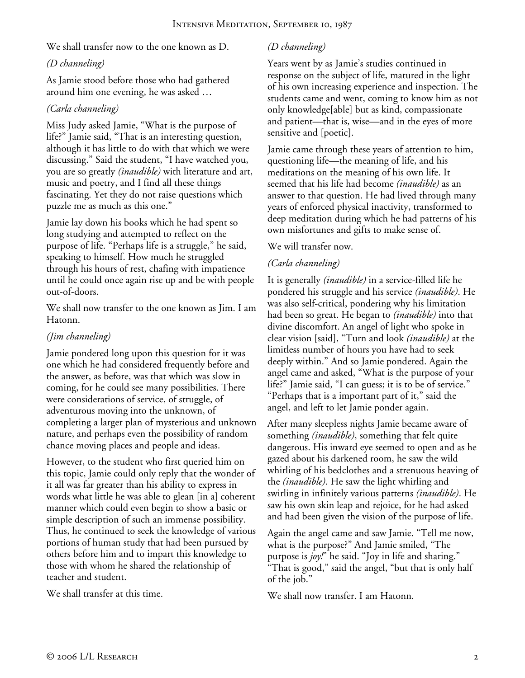We shall transfer now to the one known as D.

## *(D channeling)*

As Jamie stood before those who had gathered around him one evening, he was asked …

## *(Carla channeling)*

Miss Judy asked Jamie, "What is the purpose of life?" Jamie said, "That is an interesting question, although it has little to do with that which we were discussing." Said the student, "I have watched you, you are so greatly *(inaudible)* with literature and art, music and poetry, and I find all these things fascinating. Yet they do not raise questions which puzzle me as much as this one."

Jamie lay down his books which he had spent so long studying and attempted to reflect on the purpose of life. "Perhaps life is a struggle," he said, speaking to himself. How much he struggled through his hours of rest, chafing with impatience until he could once again rise up and be with people out-of-doors.

We shall now transfer to the one known as Jim. I am Hatonn.

## *(Jim channeling)*

Jamie pondered long upon this question for it was one which he had considered frequently before and the answer, as before, was that which was slow in coming, for he could see many possibilities. There were considerations of service, of struggle, of adventurous moving into the unknown, of completing a larger plan of mysterious and unknown nature, and perhaps even the possibility of random chance moving places and people and ideas.

However, to the student who first queried him on this topic, Jamie could only reply that the wonder of it all was far greater than his ability to express in words what little he was able to glean [in a] coherent manner which could even begin to show a basic or simple description of such an immense possibility. Thus, he continued to seek the knowledge of various portions of human study that had been pursued by others before him and to impart this knowledge to those with whom he shared the relationship of teacher and student.

We shall transfer at this time.

# *(D channeling)*

Years went by as Jamie's studies continued in response on the subject of life, matured in the light of his own increasing experience and inspection. The students came and went, coming to know him as not only knowledge[able] but as kind, compassionate and patient—that is, wise—and in the eyes of more sensitive and [poetic].

Jamie came through these years of attention to him, questioning life—the meaning of life, and his meditations on the meaning of his own life. It seemed that his life had become *(inaudible)* as an answer to that question. He had lived through many years of enforced physical inactivity, transformed to deep meditation during which he had patterns of his own misfortunes and gifts to make sense of.

### We will transfer now.

## *(Carla channeling)*

It is generally *(inaudible)* in a service-filled life he pondered his struggle and his service *(inaudible)*. He was also self-critical, pondering why his limitation had been so great. He began to *(inaudible)* into that divine discomfort. An angel of light who spoke in clear vision [said], "Turn and look *(inaudible)* at the limitless number of hours you have had to seek deeply within." And so Jamie pondered. Again the angel came and asked, "What is the purpose of your life?" Jamie said, "I can guess; it is to be of service." "Perhaps that is a important part of it," said the angel, and left to let Jamie ponder again.

After many sleepless nights Jamie became aware of something *(inaudible)*, something that felt quite dangerous. His inward eye seemed to open and as he gazed about his darkened room, he saw the wild whirling of his bedclothes and a strenuous heaving of the *(inaudible)*. He saw the light whirling and swirling in infinitely various patterns *(inaudible)*. He saw his own skin leap and rejoice, for he had asked and had been given the vision of the purpose of life.

Again the angel came and saw Jamie. "Tell me now, what is the purpose?" And Jamie smiled, "The purpose is *joy!*" he said. "Joy in life and sharing." "That is good," said the angel, "but that is only half of the job."

We shall now transfer. I am Hatonn.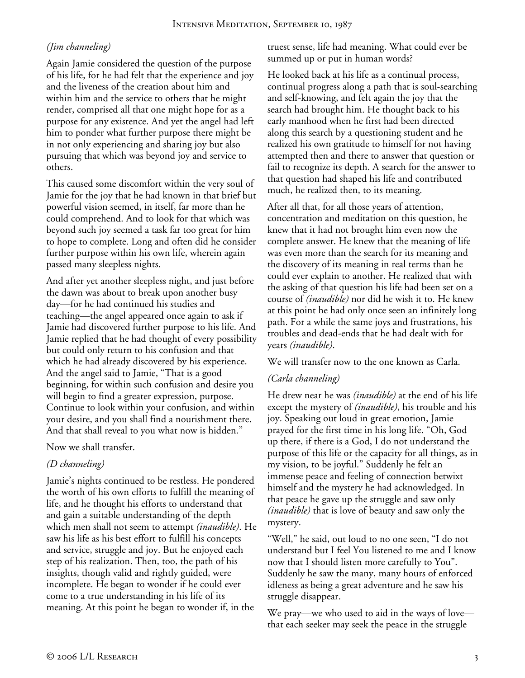## *(Jim channeling)*

Again Jamie considered the question of the purpose of his life, for he had felt that the experience and joy and the liveness of the creation about him and within him and the service to others that he might render, comprised all that one might hope for as a purpose for any existence. And yet the angel had left him to ponder what further purpose there might be in not only experiencing and sharing joy but also pursuing that which was beyond joy and service to others.

This caused some discomfort within the very soul of Jamie for the joy that he had known in that brief but powerful vision seemed, in itself, far more than he could comprehend. And to look for that which was beyond such joy seemed a task far too great for him to hope to complete. Long and often did he consider further purpose within his own life, wherein again passed many sleepless nights.

And after yet another sleepless night, and just before the dawn was about to break upon another busy day—for he had continued his studies and teaching—the angel appeared once again to ask if Jamie had discovered further purpose to his life. And Jamie replied that he had thought of every possibility but could only return to his confusion and that which he had already discovered by his experience. And the angel said to Jamie, "That is a good beginning, for within such confusion and desire you will begin to find a greater expression, purpose. Continue to look within your confusion, and within your desire, and you shall find a nourishment there. And that shall reveal to you what now is hidden."

Now we shall transfer.

## *(D channeling)*

Jamie's nights continued to be restless. He pondered the worth of his own efforts to fulfill the meaning of life, and he thought his efforts to understand that and gain a suitable understanding of the depth which men shall not seem to attempt *(inaudible)*. He saw his life as his best effort to fulfill his concepts and service, struggle and joy. But he enjoyed each step of his realization. Then, too, the path of his insights, though valid and rightly guided, were incomplete. He began to wonder if he could ever come to a true understanding in his life of its meaning. At this point he began to wonder if, in the

truest sense, life had meaning. What could ever be summed up or put in human words?

He looked back at his life as a continual process, continual progress along a path that is soul-searching and self-knowing, and felt again the joy that the search had brought him. He thought back to his early manhood when he first had been directed along this search by a questioning student and he realized his own gratitude to himself for not having attempted then and there to answer that question or fail to recognize its depth. A search for the answer to that question had shaped his life and contributed much, he realized then, to its meaning.

After all that, for all those years of attention, concentration and meditation on this question, he knew that it had not brought him even now the complete answer. He knew that the meaning of life was even more than the search for its meaning and the discovery of its meaning in real terms than he could ever explain to another. He realized that with the asking of that question his life had been set on a course of *(inaudible)* nor did he wish it to. He knew at this point he had only once seen an infinitely long path. For a while the same joys and frustrations, his troubles and dead-ends that he had dealt with for years *(inaudible)*.

We will transfer now to the one known as Carla.

## *(Carla channeling)*

He drew near he was *(inaudible)* at the end of his life except the mystery of *(inaudible)*, his trouble and his joy. Speaking out loud in great emotion, Jamie prayed for the first time in his long life. "Oh, God up there, if there is a God, I do not understand the purpose of this life or the capacity for all things, as in my vision, to be joyful." Suddenly he felt an immense peace and feeling of connection betwixt himself and the mystery he had acknowledged. In that peace he gave up the struggle and saw only *(inaudible)* that is love of beauty and saw only the mystery.

"Well," he said, out loud to no one seen, "I do not understand but I feel You listened to me and I know now that I should listen more carefully to You". Suddenly he saw the many, many hours of enforced idleness as being a great adventure and he saw his struggle disappear.

We pray—we who used to aid in the ways of love that each seeker may seek the peace in the struggle